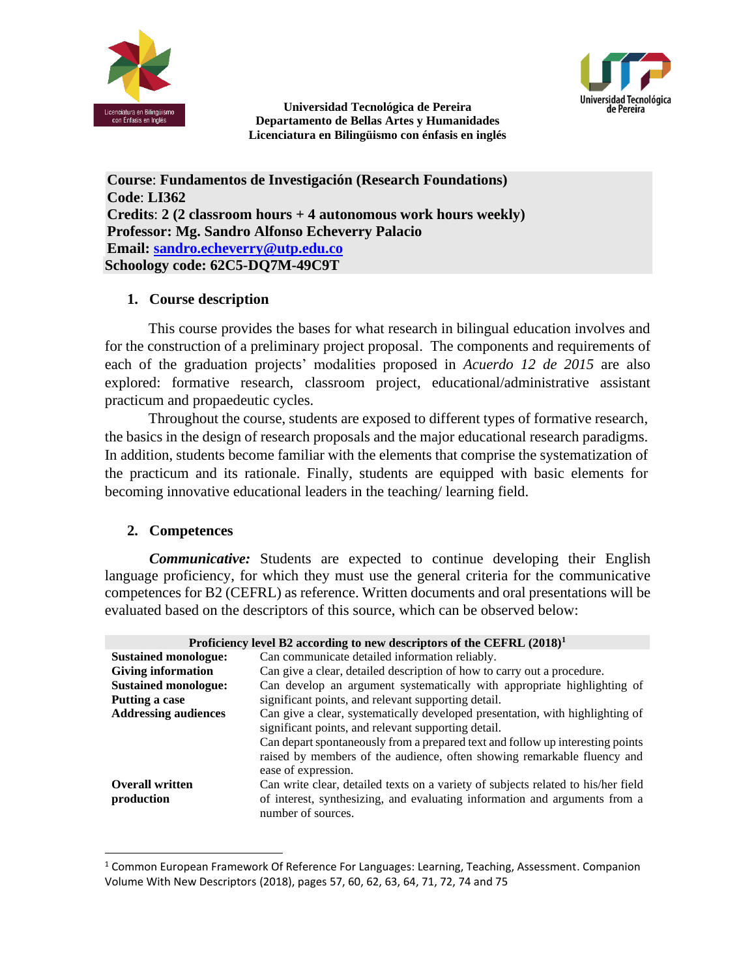

Jniversidad Tecnológica de Pereira

**Universidad Tecnológica de Pereira Departamento de Bellas Artes y Humanidades Licenciatura en Bilingüismo con énfasis en inglés**

**Course**: **Fundamentos de Investigación (Research Foundations) Code**: **LI362 Credits**: **2 (2 classroom hours + 4 autonomous work hours weekly) Professor: Mg. Sandro Alfonso Echeverry Palacio Email: [sandro.echeverry@utp.edu.co](mailto:sandro.echeverry@utp.edu.co) Schoology code: 62C5-DQ7M-49C9T**

### **1. Course description**

This course provides the bases for what research in bilingual education involves and for the construction of a preliminary project proposal. The components and requirements of each of the graduation projects' modalities proposed in *Acuerdo 12 de 2015* are also explored: formative research, classroom project, educational/administrative assistant practicum and propaedeutic cycles.

Throughout the course, students are exposed to different types of formative research, the basics in the design of research proposals and the major educational research paradigms. In addition, students become familiar with the elements that comprise the systematization of the practicum and its rationale. Finally, students are equipped with basic elements for becoming innovative educational leaders in the teaching/ learning field.

# **2. Competences**

*Communicative:* Students are expected to continue developing their English language proficiency, for which they must use the general criteria for the communicative competences for B2 (CEFRL) as reference. Written documents and oral presentations will be evaluated based on the descriptors of this source, which can be observed below:

| Proficiency level B2 according to new descriptors of the CEFRL $(2018)^1$ |                                                                                   |  |
|---------------------------------------------------------------------------|-----------------------------------------------------------------------------------|--|
| <b>Sustained monologue:</b>                                               | Can communicate detailed information reliably.                                    |  |
| <b>Giving information</b>                                                 | Can give a clear, detailed description of how to carry out a procedure.           |  |
| <b>Sustained monologue:</b>                                               | Can develop an argument systematically with appropriate highlighting of           |  |
| Putting a case                                                            | significant points, and relevant supporting detail.                               |  |
| <b>Addressing audiences</b>                                               | Can give a clear, systematically developed presentation, with highlighting of     |  |
| significant points, and relevant supporting detail.                       |                                                                                   |  |
|                                                                           | Can depart spontaneously from a prepared text and follow up interesting points    |  |
|                                                                           | raised by members of the audience, often showing remarkable fluency and           |  |
|                                                                           | ease of expression.                                                               |  |
| <b>Overall written</b>                                                    | Can write clear, detailed texts on a variety of subjects related to his/her field |  |
| production                                                                | of interest, synthesizing, and evaluating information and arguments from a        |  |
|                                                                           | number of sources.                                                                |  |

 $1$  Common European Framework Of Reference For Languages: Learning, Teaching, Assessment. Companion Volume With New Descriptors (2018), pages 57, 60, 62, 63, 64, 71, 72, 74 and 75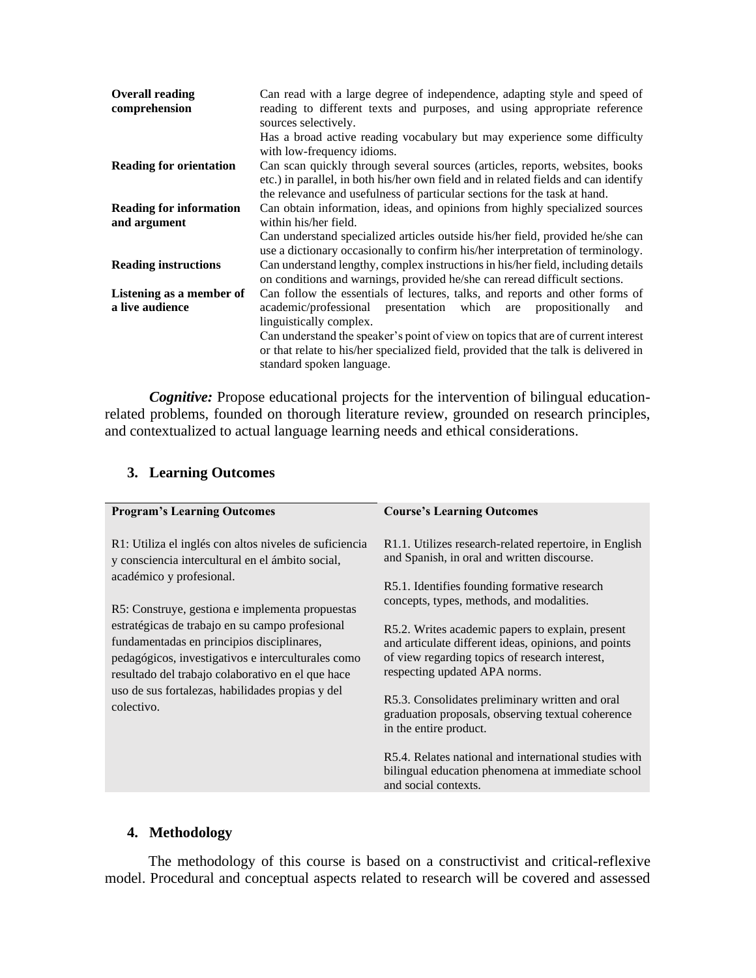| Can read with a large degree of independence, adapting style and speed of<br>reading to different texts and purposes, and using appropriate reference<br>sources selectively.                                                                    |  |
|--------------------------------------------------------------------------------------------------------------------------------------------------------------------------------------------------------------------------------------------------|--|
| Has a broad active reading vocabulary but may experience some difficulty<br>with low-frequency idioms.                                                                                                                                           |  |
| Can scan quickly through several sources (articles, reports, websites, books<br>etc.) in parallel, in both his/her own field and in related fields and can identify<br>the relevance and usefulness of particular sections for the task at hand. |  |
| Can obtain information, ideas, and opinions from highly specialized sources                                                                                                                                                                      |  |
| within his/her field.                                                                                                                                                                                                                            |  |
| Can understand specialized articles outside his/her field, provided he/she can<br>use a dictionary occasionally to confirm his/her interpretation of terminology.                                                                                |  |
| Can understand lengthy, complex instructions in his/her field, including details<br>on conditions and warnings, provided he/she can reread difficult sections.                                                                                   |  |
| Can follow the essentials of lectures, talks, and reports and other forms of                                                                                                                                                                     |  |
| Listening as a member of<br>a live audience<br>academic/professional presentation which are<br>propositionally<br>and                                                                                                                            |  |
| linguistically complex.                                                                                                                                                                                                                          |  |
| Can understand the speaker's point of view on topics that are of current interest<br>or that relate to his/her specialized field, provided that the talk is delivered in<br>standard spoken language.                                            |  |
|                                                                                                                                                                                                                                                  |  |

*Cognitive:* Propose educational projects for the intervention of bilingual educationrelated problems, founded on thorough literature review, grounded on research principles, and contextualized to actual language learning needs and ethical considerations.

# **3. Learning Outcomes**

| <b>Program's Learning Outcomes</b>                                                                                                                                                                                                                                                                                                                                                                                                                                      | <b>Course's Learning Outcomes</b>                                                                                                                                                           |
|-------------------------------------------------------------------------------------------------------------------------------------------------------------------------------------------------------------------------------------------------------------------------------------------------------------------------------------------------------------------------------------------------------------------------------------------------------------------------|---------------------------------------------------------------------------------------------------------------------------------------------------------------------------------------------|
| R1: Utiliza el inglés con altos niveles de suficiencia<br>y consciencia intercultural en el ámbito social,<br>académico y profesional.<br>R5: Construye, gestiona e implementa propuestas<br>estratégicas de trabajo en su campo profesional<br>fundamentadas en principios disciplinares,<br>pedagógicos, investigativos e interculturales como<br>resultado del trabajo colaborativo en el que hace<br>uso de sus fortalezas, habilidades propias y del<br>colectivo. | R1.1. Utilizes research-related repertoire, in English<br>and Spanish, in oral and written discourse.                                                                                       |
|                                                                                                                                                                                                                                                                                                                                                                                                                                                                         | R5.1. Identifies founding formative research<br>concepts, types, methods, and modalities.                                                                                                   |
|                                                                                                                                                                                                                                                                                                                                                                                                                                                                         | R5.2. Writes academic papers to explain, present<br>and articulate different ideas, opinions, and points<br>of view regarding topics of research interest,<br>respecting updated APA norms. |
|                                                                                                                                                                                                                                                                                                                                                                                                                                                                         | R5.3. Consolidates preliminary written and oral<br>graduation proposals, observing textual coherence<br>in the entire product.                                                              |
|                                                                                                                                                                                                                                                                                                                                                                                                                                                                         | R5.4. Relates national and international studies with<br>bilingual education phenomena at immediate school<br>and social contexts.                                                          |

#### **4. Methodology**

The methodology of this course is based on a constructivist and critical-reflexive model. Procedural and conceptual aspects related to research will be covered and assessed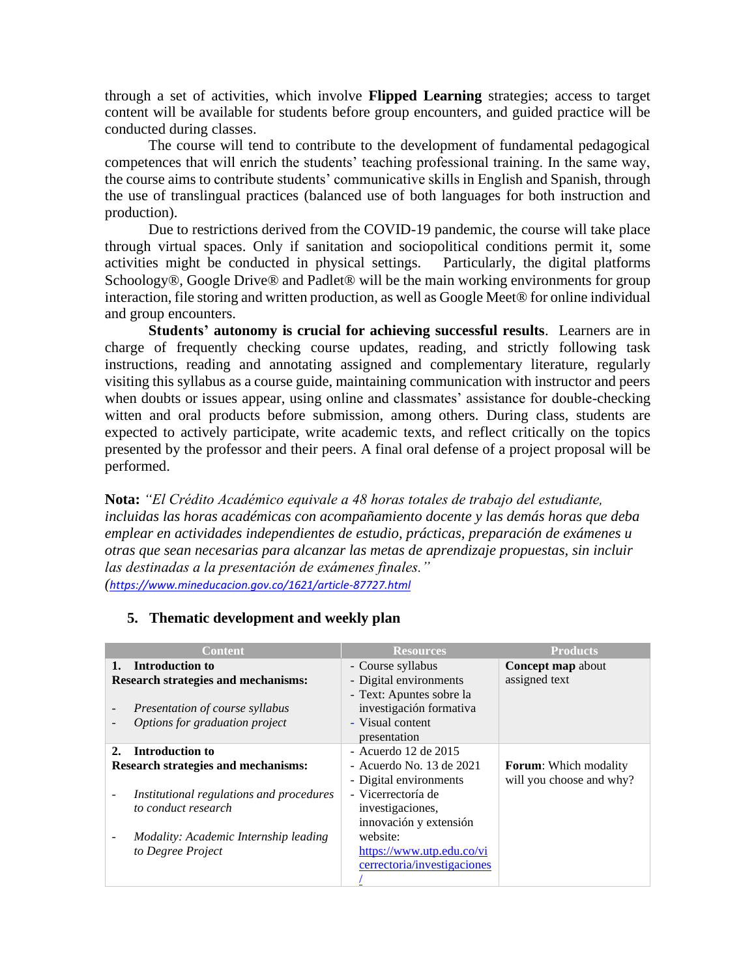through a set of activities, which involve **Flipped Learning** strategies; access to target content will be available for students before group encounters, and guided practice will be conducted during classes.

The course will tend to contribute to the development of fundamental pedagogical competences that will enrich the students' teaching professional training. In the same way, the course aims to contribute students' communicative skills in English and Spanish, through the use of translingual practices (balanced use of both languages for both instruction and production).

Due to restrictions derived from the COVID-19 pandemic, the course will take place through virtual spaces. Only if sanitation and sociopolitical conditions permit it, some activities might be conducted in physical settings. Particularly, the digital platforms Schoology®, Google Drive® and Padlet® will be the main working environments for group interaction, file storing and written production, as well as Google Meet® for online individual and group encounters.

**Students' autonomy is crucial for achieving successful results**. Learners are in charge of frequently checking course updates, reading, and strictly following task instructions, reading and annotating assigned and complementary literature, regularly visiting this syllabus as a course guide, maintaining communication with instructor and peers when doubts or issues appear, using online and classmates' assistance for double-checking witten and oral products before submission, among others. During class, students are expected to actively participate, write academic texts, and reflect critically on the topics presented by the professor and their peers. A final oral defense of a project proposal will be performed.

**Nota:** *"El Crédito Académico equivale a 48 horas totales de trabajo del estudiante, incluidas las horas académicas con acompañamiento docente y las demás horas que deba emplear en actividades independientes de estudio, prácticas, preparación de exámenes u otras que sean necesarias para alcanzar las metas de aprendizaje propuestas, sin incluir las destinadas a la presentación de exámenes finales." (<https://www.mineducacion.gov.co/1621/article-87727.html>*

|    | Content                                                                                                                                   | <b>Resources</b>                                                                                                                               | <b>Products</b>                                          |
|----|-------------------------------------------------------------------------------------------------------------------------------------------|------------------------------------------------------------------------------------------------------------------------------------------------|----------------------------------------------------------|
|    | Introduction to<br><b>Research strategies and mechanisms:</b><br><i>Presentation of course syllabus</i><br>Options for graduation project | - Course syllabus<br>- Digital environments<br>- Text: Apuntes sobre la<br>investigación formativa<br>- Visual content<br>presentation         | <b>Concept map about</b><br>assigned text                |
| 2. | Introduction to<br><b>Research strategies and mechanisms:</b><br>Institutional regulations and procedures<br>to conduct research          | - Acuerdo 12 de 2015<br>- Acuerdo No. 13 de 2021<br>- Digital environments<br>- Vicerrectoría de<br>investigaciones,<br>innovación y extensión | <b>Forum:</b> Which modality<br>will you choose and why? |
|    | Modality: Academic Internship leading<br>to Degree Project                                                                                | website:<br>https://www.utp.edu.co/vi<br>cerrectoria/investigaciones                                                                           |                                                          |

### **5. Thematic development and weekly plan**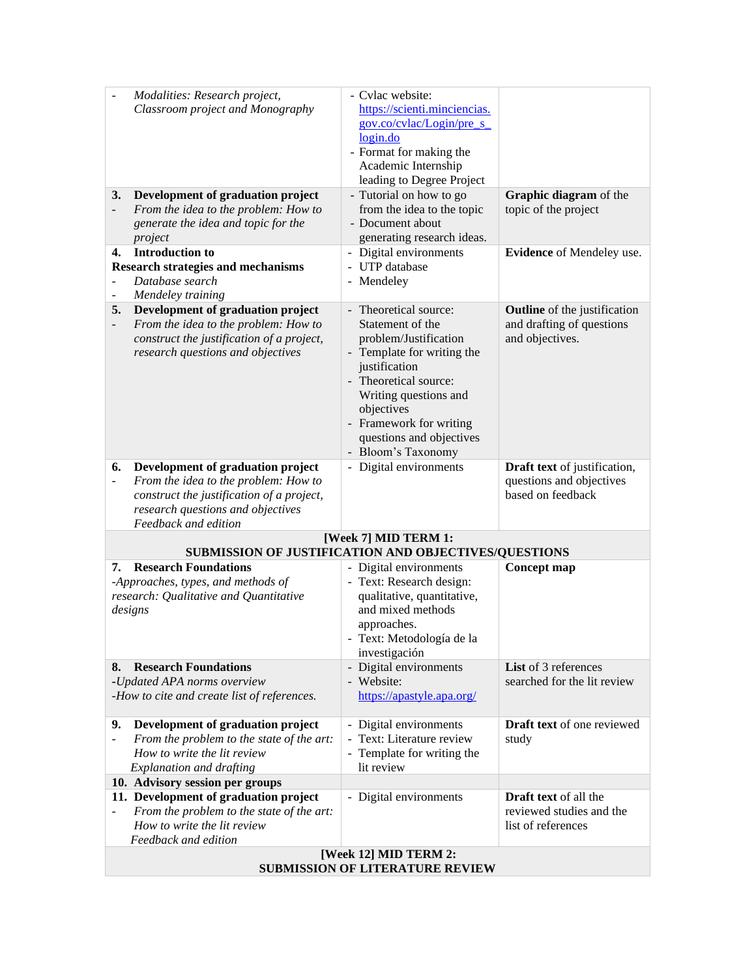|                                                                 | Modalities: Research project,<br>Classroom project and Monography                 | - Cvlac website:<br>https://scienti.minciencias.                             |                                               |
|-----------------------------------------------------------------|-----------------------------------------------------------------------------------|------------------------------------------------------------------------------|-----------------------------------------------|
|                                                                 |                                                                                   | gov.co/cvlac/Login/pre_s_                                                    |                                               |
|                                                                 |                                                                                   | login.do                                                                     |                                               |
|                                                                 |                                                                                   | - Format for making the<br>Academic Internship                               |                                               |
|                                                                 |                                                                                   | leading to Degree Project                                                    |                                               |
| 3.                                                              | Development of graduation project                                                 | - Tutorial on how to go                                                      | Graphic diagram of the                        |
| $\overline{\phantom{a}}$                                        | From the idea to the problem: How to                                              | from the idea to the topic                                                   | topic of the project                          |
|                                                                 | generate the idea and topic for the                                               | - Document about                                                             |                                               |
| 4.                                                              | project<br><b>Introduction to</b>                                                 | generating research ideas.<br>- Digital environments                         | Evidence of Mendeley use.                     |
|                                                                 | <b>Research strategies and mechanisms</b>                                         | - UTP database                                                               |                                               |
|                                                                 | Database search                                                                   | - Mendeley                                                                   |                                               |
|                                                                 | Mendeley training                                                                 |                                                                              |                                               |
| 5.                                                              | Development of graduation project                                                 | Theoretical source:<br>$\overline{\phantom{a}}$                              | <b>Outline</b> of the justification           |
| $\overline{\phantom{0}}$                                        | From the idea to the problem: How to<br>construct the justification of a project, | Statement of the<br>problem/Justification                                    | and drafting of questions<br>and objectives.  |
|                                                                 | research questions and objectives                                                 | Template for writing the                                                     |                                               |
|                                                                 |                                                                                   | justification                                                                |                                               |
|                                                                 |                                                                                   | - Theoretical source:                                                        |                                               |
|                                                                 |                                                                                   | Writing questions and<br>objectives                                          |                                               |
|                                                                 |                                                                                   | - Framework for writing                                                      |                                               |
|                                                                 |                                                                                   | questions and objectives                                                     |                                               |
|                                                                 |                                                                                   | - Bloom's Taxonomy                                                           |                                               |
| 6.                                                              | Development of graduation project                                                 | - Digital environments                                                       | Draft text of justification,                  |
| $\overline{\phantom{a}}$                                        | From the idea to the problem: How to<br>construct the justification of a project, |                                                                              | questions and objectives<br>based on feedback |
|                                                                 | research questions and objectives                                                 |                                                                              |                                               |
|                                                                 | Feedback and edition                                                              |                                                                              |                                               |
|                                                                 |                                                                                   | [Week 7] MID TERM 1:<br>SUBMISSION OF JUSTIFICATION AND OBJECTIVES/QUESTIONS |                                               |
| 7.                                                              | <b>Research Foundations</b>                                                       | - Digital environments                                                       | Concept map                                   |
|                                                                 | -Approaches, types, and methods of                                                | - Text: Research design:                                                     |                                               |
|                                                                 | research: Qualitative and Quantitative                                            | qualitative, quantitative,                                                   |                                               |
|                                                                 | designs                                                                           | and mixed methods                                                            |                                               |
|                                                                 |                                                                                   | approaches.<br>- Text: Metodología de la                                     |                                               |
|                                                                 |                                                                                   | investigación                                                                |                                               |
| 8.                                                              | <b>Research Foundations</b>                                                       | - Digital environments                                                       | List of 3 references                          |
|                                                                 | -Updated APA norms overview                                                       | - Website:                                                                   | searched for the lit review                   |
|                                                                 | -How to cite and create list of references.                                       | https://apastyle.apa.org/                                                    |                                               |
| 9.                                                              | Development of graduation project                                                 | - Digital environments                                                       | Draft text of one reviewed                    |
|                                                                 | From the problem to the state of the art:                                         | Text: Literature review                                                      | study                                         |
|                                                                 | How to write the lit review                                                       | - Template for writing the                                                   |                                               |
|                                                                 | <b>Explanation and drafting</b>                                                   | lit review                                                                   |                                               |
|                                                                 | 10. Advisory session per groups<br>11. Development of graduation project          | - Digital environments                                                       | <b>Draft text</b> of all the                  |
|                                                                 | From the problem to the state of the art:                                         |                                                                              | reviewed studies and the                      |
|                                                                 | How to write the lit review                                                       |                                                                              | list of references                            |
|                                                                 | Feedback and edition                                                              |                                                                              |                                               |
| [Week 12] MID TERM 2:<br><b>SUBMISSION OF LITERATURE REVIEW</b> |                                                                                   |                                                                              |                                               |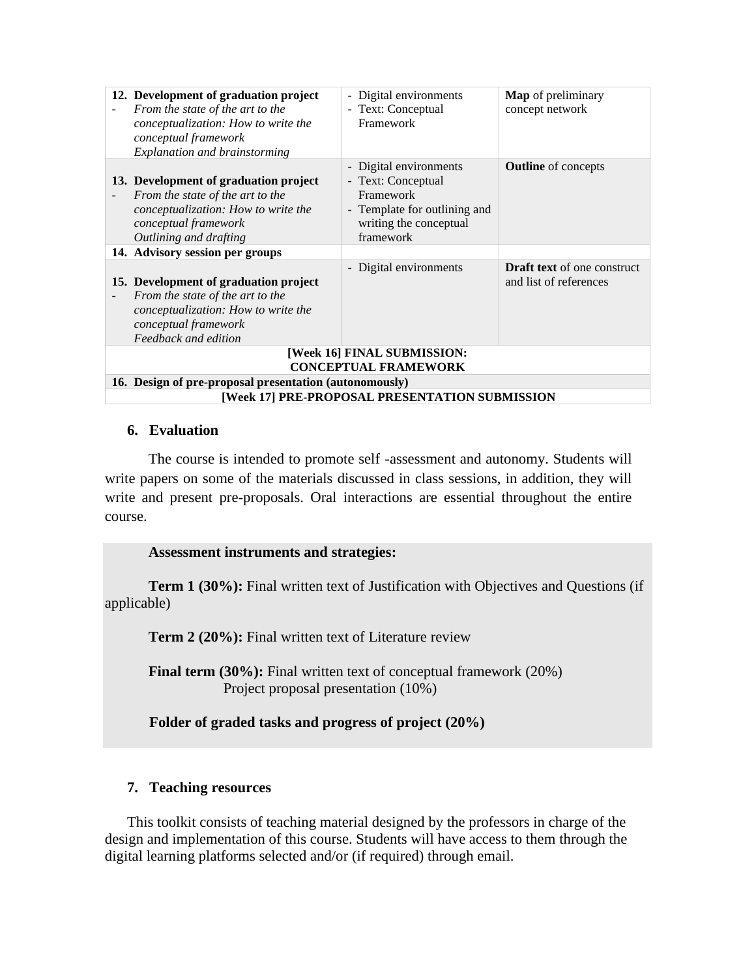| 12. Development of graduation project<br>From the state of the art to the<br>conceptualization: How to write the<br>conceptual framework<br>Explanation and brainstorming | - Digital environments<br>- Text: Conceptual<br>Framework                                                                                                  | Map of preliminary<br>concept network                        |
|---------------------------------------------------------------------------------------------------------------------------------------------------------------------------|------------------------------------------------------------------------------------------------------------------------------------------------------------|--------------------------------------------------------------|
| 13. Development of graduation project<br>From the state of the art to the<br>conceptualization: How to write the<br>conceptual framework<br>Outlining and drafting        | Digital environments<br>$\overline{\phantom{a}}$<br>- Text: Conceptual<br>Framework<br>- Template for outlining and<br>writing the conceptual<br>framework | <b>Outline</b> of concepts                                   |
| 14. Advisory session per groups                                                                                                                                           |                                                                                                                                                            |                                                              |
| 15. Development of graduation project<br>From the state of the art to the<br>conceptualization: How to write the<br>conceptual framework<br>Feedback and edition          | Digital environments                                                                                                                                       | <b>Draft text</b> of one construct<br>and list of references |
| [Week 16] FINAL SUBMISSION:                                                                                                                                               |                                                                                                                                                            |                                                              |
| <b>CONCEPTUAL FRAMEWORK</b>                                                                                                                                               |                                                                                                                                                            |                                                              |
| 16. Design of pre-proposal presentation (autonomously)                                                                                                                    |                                                                                                                                                            |                                                              |
| [Week 17] PRE-PROPOSAL PRESENTATION SUBMISSION                                                                                                                            |                                                                                                                                                            |                                                              |

### **6. Evaluation**

The course is intended to promote self -assessment and autonomy. Students will write papers on some of the materials discussed in class sessions, in addition, they will write and present pre-proposals. Oral interactions are essential throughout the entire course.

### **Assessment instruments and strategies:**

**Term 1 (30%):** Final written text of Justification with Objectives and Questions (if applicable)

**Term 2 (20%):** Final written text of Literature review

**Final term (30%):** Final written text of conceptual framework (20%) Project proposal presentation (10%)

**Folder of graded tasks and progress of project (20%)**

# **7. Teaching resources**

This toolkit consists of teaching material designed by the professors in charge of the design and implementation of this course. Students will have access to them through the digital learning platforms selected and/or (if required) through email.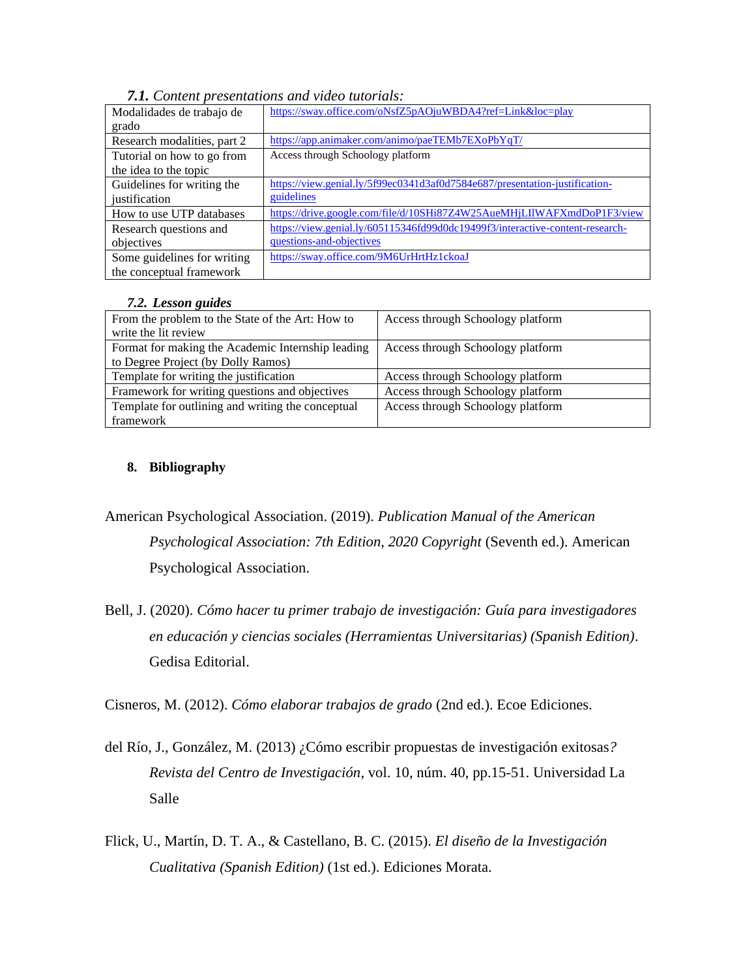| Modalidades de trabajo de   | https://sway.office.com/oNsfZ5pAOjuWBDA4?ref=Link&loc=play                    |
|-----------------------------|-------------------------------------------------------------------------------|
| grado                       |                                                                               |
| Research modalities, part 2 | https://app.animaker.com/animo/paeTEMb7EXoPbYqT/                              |
| Tutorial on how to go from  | Access through Schoology platform                                             |
| the idea to the topic       |                                                                               |
| Guidelines for writing the  | https://view.genial.ly/5f99ec0341d3af0d7584e687/presentation-justification-   |
| iustification               | guidelines                                                                    |
| How to use UTP databases    | https://drive.google.com/file/d/10SHi87Z4W25AueMHjLIlWAFXmdDoP1F3/view        |
| Research questions and      | https://view.genial.ly/605115346fd99d0dc19499f3/interactive-content-research- |
| objectives                  | questions-and-objectives                                                      |
| Some guidelines for writing | https://sway.office.com/9M6UrHrtHz1ckoaJ                                      |
| the conceptual framework    |                                                                               |

*7.1. Content presentations and video tutorials:*

#### *7.2. Lesson guides*

| From the problem to the State of the Art: How to  | Access through Schoology platform |
|---------------------------------------------------|-----------------------------------|
| write the lit review                              |                                   |
| Format for making the Academic Internship leading | Access through Schoology platform |
| to Degree Project (by Dolly Ramos)                |                                   |
| Template for writing the justification            | Access through Schoology platform |
| Framework for writing questions and objectives    | Access through Schoology platform |
| Template for outlining and writing the conceptual | Access through Schoology platform |
| framework                                         |                                   |

### **8. Bibliography**

American Psychological Association. (2019). *Publication Manual of the American Psychological Association: 7th Edition, 2020 Copyright* (Seventh ed.). American Psychological Association.

Bell, J. (2020). *Cómo hacer tu primer trabajo de investigación: Guía para investigadores en educación y ciencias sociales (Herramientas Universitarias) (Spanish Edition)*. Gedisa Editorial.

Cisneros, M. (2012). *Cómo elaborar trabajos de grado* (2nd ed.). Ecoe Ediciones.

- del Río, J., González, M. (2013) ¿Cómo escribir propuestas de investigación exitosas*? Revista del Centro de Investigación*, vol. 10, núm. 40, pp.15-51. Universidad La Salle
- Flick, U., Martín, D. T. A., & Castellano, B. C. (2015). *El diseño de la Investigación Cualitativa (Spanish Edition)* (1st ed.). Ediciones Morata.